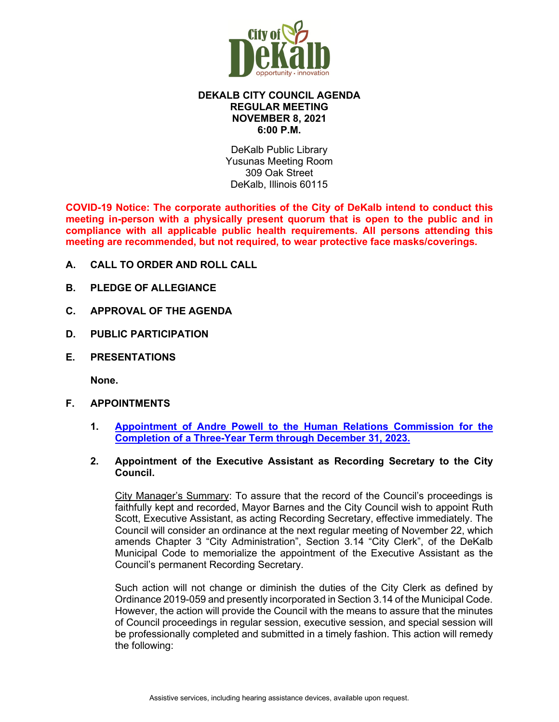

### **DEKALB CITY COUNCIL AGENDA REGULAR MEETING NOVEMBER 8, 2021 6:00 P.M.**

DeKalb Public Library Yusunas Meeting Room 309 Oak Street DeKalb, Illinois 60115

**COVID-19 Notice: The corporate authorities of the City of DeKalb intend to conduct this meeting in-person with a physically present quorum that is open to the public and in compliance with all applicable public health requirements. All persons attending this meeting are recommended, but not required, to wear protective face masks/coverings.**

- **A. CALL TO ORDER AND ROLL CALL**
- **B. PLEDGE OF ALLEGIANCE**
- **C. APPROVAL OF THE AGENDA**
- **D. PUBLIC PARTICIPATION**
- **E. PRESENTATIONS**

**None.** 

- **F. APPOINTMENTS**
	- **1. [Appointment of Andre Powell to the Human Relations Commission for the](https://www.cityofdekalb.com/DocumentCenter/View/13188/2-Powell-Andre---HRC-Appt-110821)  [Completion of a Three-Year Term through December 31, 2023.](https://www.cityofdekalb.com/DocumentCenter/View/13188/2-Powell-Andre---HRC-Appt-110821)**
	- **2. Appointment of the Executive Assistant as Recording Secretary to the City Council.**

City Manager's Summary: To assure that the record of the Council's proceedings is faithfully kept and recorded, Mayor Barnes and the City Council wish to appoint Ruth Scott, Executive Assistant, as acting Recording Secretary, effective immediately. The Council will consider an ordinance at the next regular meeting of November 22, which amends Chapter 3 "City Administration", Section 3.14 "City Clerk", of the DeKalb Municipal Code to memorialize the appointment of the Executive Assistant as the Council's permanent Recording Secretary.

Such action will not change or diminish the duties of the City Clerk as defined by Ordinance 2019-059 and presently incorporated in Section 3.14 of the Municipal Code. However, the action will provide the Council with the means to assure that the minutes of Council proceedings in regular session, executive session, and special session will be professionally completed and submitted in a timely fashion. This action will remedy the following: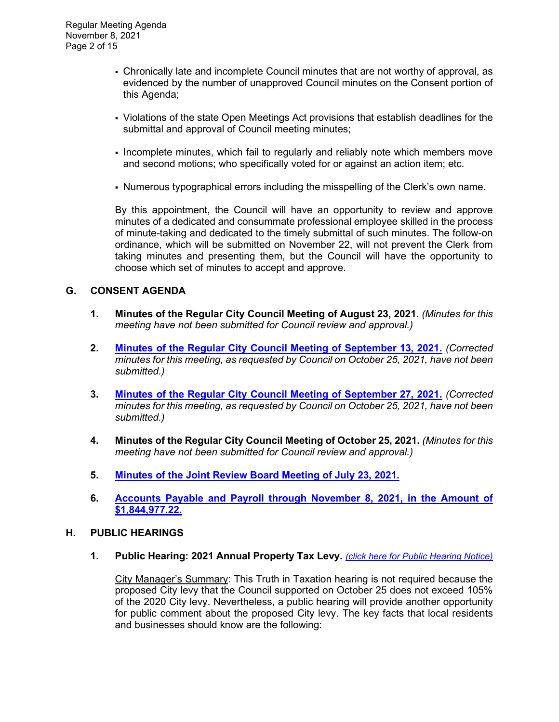- Chronically late and incomplete Council minutes that are not worthy of approval, as evidenced by the number of unapproved Council minutes on the Consent portion of this Agenda;
- Violations of the state Open Meetings Act provisions that establish deadlines for the submittal and approval of Council meeting minutes;
- Incomplete minutes, which fail to regularly and reliably note which members move and second motions; who specifically voted for or against an action item; etc.
- Numerous typographical errors including the misspelling of the Clerk's own name.

By this appointment, the Council will have an opportunity to review and approve minutes of a dedicated and consummate professional employee skilled in the process of minute-taking and dedicated to the timely submittal of such minutes. The follow-on ordinance, which will be submitted on November 22, will not prevent the Clerk from taking minutes and presenting them, but the Council will have the opportunity to choose which set of minutes to accept and approve.

# **G. CONSENT AGENDA**

- **1. Minutes of the Regular City Council Meeting of August 23, 2021.** *(Minutes for this meeting have not been submitted for Council review and approval.)*
- **2. [Minutes of the Regular City Council Meeting of September 13, 2021.](https://www.cityofdekalb.com/DocumentCenter/View/13189/3-091321-Regular-Minutes-SC-Not-Corrected)** *(Corrected minutes for this meeting, as requested by Council on October 25, 2021, have not been submitted.)*
- **3. [Minutes of the Regular City Council Meeting of September 27, 2021.](https://www.cityofdekalb.com/DocumentCenter/View/13190/4-092721-Regular-Minutes-SC-Not-Corrected)** *(Corrected minutes for this meeting, as requested by Council on October 25, 2021, have not been submitted.)*
- **4. Minutes of the Regular City Council Meeting of October 25, 2021.** *(Minutes for this meeting have not been submitted for Council review and approval.)*
- **5. [Minutes of the Joint Review Board Meeting of July 23, 2021.](https://www.cityofdekalb.com/DocumentCenter/View/13191/5-072321-JRB-Minutes-FINAL)**
- **6. [Accounts Payable and Payroll through November 8, 2021,](https://www.cityofdekalb.com/DocumentCenter/View/13192/6-APP-110821) in the Amount of [\\$1,844,977.22.](https://www.cityofdekalb.com/DocumentCenter/View/13192/6-APP-110821)**

#### **H. PUBLIC HEARINGS**

**1. Public Hearing: 2021 Annual Property Tax Levy.** *[\(click here for Public Hearing Notice\)](https://www.cityofdekalb.com/DocumentCenter/View/13193/7-PH---Truth-in-Taxation-Notice)*

City Manager's Summary: This Truth in Taxation hearing is not required because the proposed City levy that the Council supported on October 25 does not exceed 105% of the 2020 City levy. Nevertheless, a public hearing will provide another opportunity for public comment about the proposed City levy. The key facts that local residents and businesses should know are the following: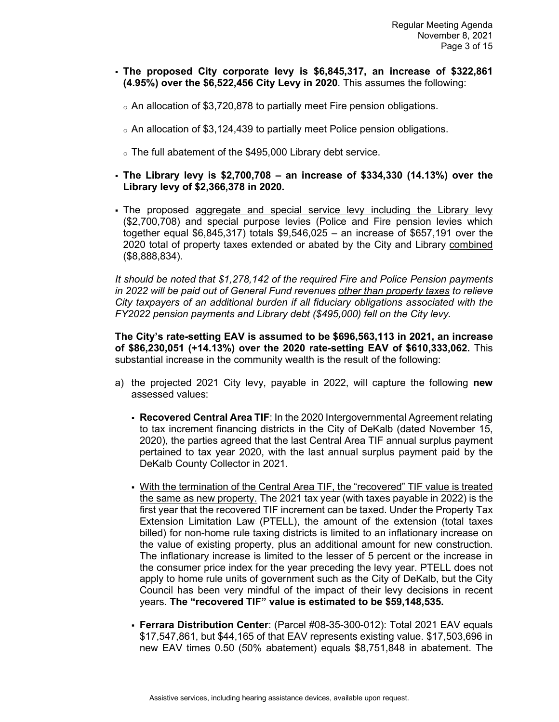- **The proposed City corporate levy is \$6,845,317, an increase of \$322,861 (4.95%) over the \$6,522,456 City Levy in 2020**. This assumes the following:
	- <sup>o</sup> An allocation of \$3,720,878 to partially meet Fire pension obligations.
	- $\circ$  An allocation of \$3,124,439 to partially meet Police pension obligations.
	- <sup>o</sup> The full abatement of the \$495,000 Library debt service.
- **The Library levy is \$2,700,708 – an increase of \$334,330 (14.13%) over the Library levy of \$2,366,378 in 2020.**
- The proposed aggregate and special service levy including the Library levy (\$2,700,708) and special purpose levies (Police and Fire pension levies which together equal \$6,845,317) totals \$9,546,025 – an increase of \$657,191 over the 2020 total of property taxes extended or abated by the City and Library combined (\$8,888,834).

*It should be noted that \$1,278,142 of the required Fire and Police Pension payments in 2022 will be paid out of General Fund revenues other than property taxes to relieve City taxpayers of an additional burden if all fiduciary obligations associated with the FY2022 pension payments and Library debt (\$495,000) fell on the City levy.* 

**The City's rate-setting EAV is assumed to be \$696,563,113 in 2021, an increase of \$86,230,051 (+14.13%) over the 2020 rate-setting EAV of \$610,333,062.** This substantial increase in the community wealth is the result of the following:

- a) the projected 2021 City levy, payable in 2022, will capture the following **new** assessed values:
	- **Recovered Central Area TIF**: In the 2020 Intergovernmental Agreement relating to tax increment financing districts in the City of DeKalb (dated November 15, 2020), the parties agreed that the last Central Area TIF annual surplus payment pertained to tax year 2020, with the last annual surplus payment paid by the DeKalb County Collector in 2021.
	- With the termination of the Central Area TIF, the "recovered" TIF value is treated the same as new property. The 2021 tax year (with taxes payable in 2022) is the first year that the recovered TIF increment can be taxed. Under the Property Tax Extension Limitation Law (PTELL), the amount of the extension (total taxes billed) for non-home rule taxing districts is limited to an inflationary increase on the value of existing property, plus an additional amount for new construction. The inflationary increase is limited to the lesser of 5 percent or the increase in the consumer price index for the year preceding the levy year. PTELL does not apply to home rule units of government such as the City of DeKalb, but the City Council has been very mindful of the impact of their levy decisions in recent years. **The "recovered TIF" value is estimated to be \$59,148,535.**
	- **Ferrara Distribution Center**: (Parcel #08-35-300-012): Total 2021 EAV equals \$17,547,861, but \$44,165 of that EAV represents existing value. \$17,503,696 in new EAV times 0.50 (50% abatement) equals \$8,751,848 in abatement. The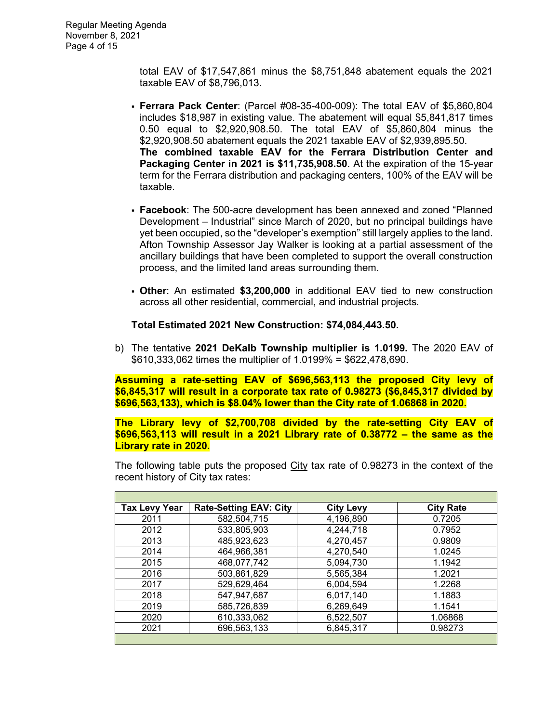total EAV of \$17,547,861 minus the \$8,751,848 abatement equals the 2021 taxable EAV of \$8,796,013.

- **Ferrara Pack Center**: (Parcel #08-35-400-009): The total EAV of \$5,860,804 includes \$18,987 in existing value. The abatement will equal \$5,841,817 times 0.50 equal to \$2,920,908.50. The total EAV of \$5,860,804 minus the \$2,920,908.50 abatement equals the 2021 taxable EAV of \$2,939,895.50. **The combined taxable EAV for the Ferrara Distribution Center and Packaging Center in 2021 is \$11,735,908.50**. At the expiration of the 15-year term for the Ferrara distribution and packaging centers, 100% of the EAV will be taxable.
- **Facebook**: The 500-acre development has been annexed and zoned "Planned Development – Industrial" since March of 2020, but no principal buildings have yet been occupied, so the "developer's exemption" still largely applies to the land. Afton Township Assessor Jay Walker is looking at a partial assessment of the ancillary buildings that have been completed to support the overall construction process, and the limited land areas surrounding them.
- **Other**: An estimated **\$3,200,000** in additional EAV tied to new construction across all other residential, commercial, and industrial projects.

#### **Total Estimated 2021 New Construction: \$74,084,443.50.**

b) The tentative **2021 DeKalb Township multiplier is 1.0199.** The 2020 EAV of \$610,333,062 times the multiplier of 1.0199% = \$622,478,690.

**Assuming a rate-setting EAV of \$696,563,113 the proposed City levy of \$6,845,317 will result in a corporate tax rate of 0.98273 (\$6,845,317 divided by \$696,563,133), which is \$8.04% lower than the City rate of 1.06868 in 2020.**

**The Library levy of \$2,700,708 divided by the rate-setting City EAV of \$696,563,113 will result in a 2021 Library rate of 0.38772 – the same as the Library rate in 2020.**

The following table puts the proposed City tax rate of 0.98273 in the context of the recent history of City tax rates:

| <b>Tax Levy Year</b> | <b>Rate-Setting EAV: City</b> | <b>City Levy</b> | <b>City Rate</b> |
|----------------------|-------------------------------|------------------|------------------|
| 2011                 | 582,504,715                   | 4,196,890        | 0.7205           |
| 2012                 | 533,805,903                   | 4,244,718        | 0.7952           |
| 2013                 | 485,923,623                   | 4,270,457        | 0.9809           |
| 2014                 | 464,966,381                   | 4,270,540        | 1.0245           |
| 2015                 | 468,077,742                   | 5,094,730        | 1.1942           |
| 2016                 | 503,861,829                   | 5,565,384        | 1.2021           |
| 2017                 | 529,629,464                   | 6,004,594        | 1.2268           |
| 2018                 | 547,947,687                   | 6,017,140        | 1.1883           |
| 2019                 | 585,726,839                   | 6,269,649        | 1.1541           |
| 2020                 | 610,333,062                   | 6,522,507        | 1.06868          |
| 2021                 | 696,563,133                   | 6,845,317        | 0.98273          |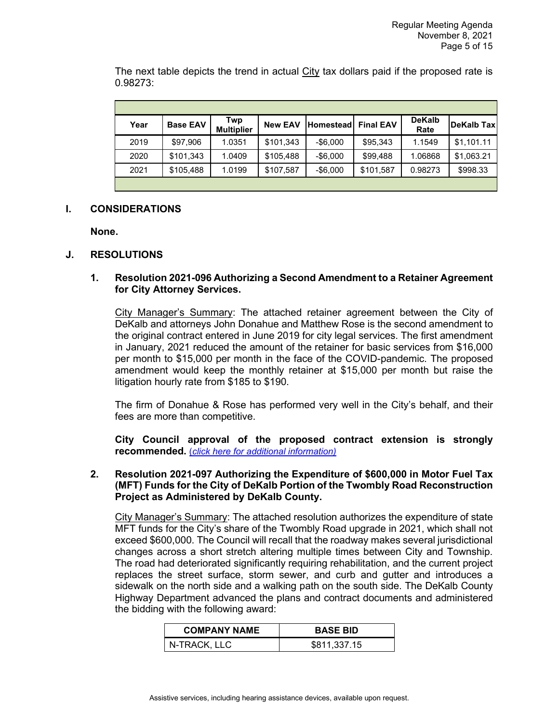The next table depicts the trend in actual City tax dollars paid if the proposed rate is 0.98273:

| Year | <b>Base EAV</b> | Twp<br><b>Multiplier</b> | <b>New EAV</b> | Homestead   | <b>Final EAV</b> | <b>DeKalb</b><br>Rate | <b>DeKalb Tax</b> |
|------|-----------------|--------------------------|----------------|-------------|------------------|-----------------------|-------------------|
| 2019 | \$97,906        | 1.0351                   | \$101,343      | $-$ \$6,000 | \$95,343         | 1.1549                | \$1,101.11        |
| 2020 | \$101,343       | 1.0409                   | \$105,488      | $-$ \$6,000 | \$99,488         | 1.06868               | \$1,063.21        |
| 2021 | \$105.488       | 1.0199                   | \$107,587      | $-$ \$6,000 | \$101,587        | 0.98273               | \$998.33          |
|      |                 |                          |                |             |                  |                       |                   |

# **I. CONSIDERATIONS**

**None.** 

### **J. RESOLUTIONS**

### **1. Resolution 2021-096 Authorizing a Second Amendment to a Retainer Agreement for City Attorney Services.**

City Manager's Summary: The attached retainer agreement between the City of DeKalb and attorneys John Donahue and Matthew Rose is the second amendment to the original contract entered in June 2019 for city legal services. The first amendment in January, 2021 reduced the amount of the retainer for basic services from \$16,000 per month to \$15,000 per month in the face of the COVID-pandemic. The proposed amendment would keep the monthly retainer at \$15,000 per month but raise the litigation hourly rate from \$185 to \$190.

The firm of Donahue & Rose has performed very well in the City's behalf, and their fees are more than competitive.

**City Council approval of the proposed contract extension is strongly recommended.** (*[click here for additional information\)](https://www.cityofdekalb.com/DocumentCenter/View/13194/8-Res-2021-096)*

### **2. Resolution 2021-097 Authorizing the Expenditure of \$600,000 in Motor Fuel Tax (MFT) Funds for the City of DeKalb Portion of the Twombly Road Reconstruction Project as Administered by DeKalb County.**

City Manager's Summary: The attached resolution authorizes the expenditure of state MFT funds for the City's share of the Twombly Road upgrade in 2021, which shall not exceed \$600,000. The Council will recall that the roadway makes several jurisdictional changes across a short stretch altering multiple times between City and Township. The road had deteriorated significantly requiring rehabilitation, and the current project replaces the street surface, storm sewer, and curb and gutter and introduces a sidewalk on the north side and a walking path on the south side. The DeKalb County Highway Department advanced the plans and contract documents and administered the bidding with the following award:

| <b>COMPANY NAME</b> | <b>BASE BID</b> |
|---------------------|-----------------|
| N-TRACK, LLC        | \$811,337.15    |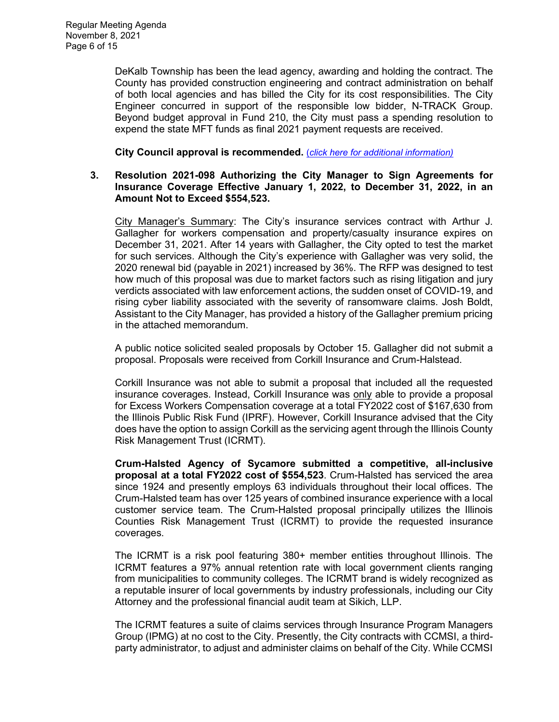DeKalb Township has been the lead agency, awarding and holding the contract. The County has provided construction engineering and contract administration on behalf of both local agencies and has billed the City for its cost responsibilities. The City Engineer concurred in support of the responsible low bidder, N-TRACK Group. Beyond budget approval in Fund 210, the City must pass a spending resolution to expend the state MFT funds as final 2021 payment requests are received.

**City Council approval is recommended.** (*[click here for additional information\)](https://www.cityofdekalb.com/DocumentCenter/View/13195/9-Res-2021-097)*

#### **3. Resolution 2021-098 Authorizing the City Manager to Sign Agreements for Insurance Coverage Effective January 1, 2022, to December 31, 2022, in an Amount Not to Exceed \$554,523.**

City Manager's Summary: The City's insurance services contract with Arthur J. Gallagher for workers compensation and property/casualty insurance expires on December 31, 2021. After 14 years with Gallagher, the City opted to test the market for such services. Although the City's experience with Gallagher was very solid, the 2020 renewal bid (payable in 2021) increased by 36%. The RFP was designed to test how much of this proposal was due to market factors such as rising litigation and jury verdicts associated with law enforcement actions, the sudden onset of COVID-19, and rising cyber liability associated with the severity of ransomware claims. Josh Boldt, Assistant to the City Manager, has provided a history of the Gallagher premium pricing in the attached memorandum.

A public notice solicited sealed proposals by October 15. Gallagher did not submit a proposal. Proposals were received from Corkill Insurance and Crum-Halstead.

Corkill Insurance was not able to submit a proposal that included all the requested insurance coverages. Instead, Corkill Insurance was only able to provide a proposal for Excess Workers Compensation coverage at a total FY2022 cost of \$167,630 from the Illinois Public Risk Fund (IPRF). However, Corkill Insurance advised that the City does have the option to assign Corkill as the servicing agent through the Illinois County Risk Management Trust (ICRMT).

**Crum-Halsted Agency of Sycamore submitted a competitive, all-inclusive proposal at a total FY2022 cost of \$554,523**. Crum-Halsted has serviced the area since 1924 and presently employs 63 individuals throughout their local offices. The Crum-Halsted team has over 125 years of combined insurance experience with a local customer service team. The Crum-Halsted proposal principally utilizes the Illinois Counties Risk Management Trust (ICRMT) to provide the requested insurance coverages.

The ICRMT is a risk pool featuring 380+ member entities throughout Illinois. The ICRMT features a 97% annual retention rate with local government clients ranging from municipalities to community colleges. The ICRMT brand is widely recognized as a reputable insurer of local governments by industry professionals, including our City Attorney and the professional financial audit team at Sikich, LLP.

The ICRMT features a suite of claims services through Insurance Program Managers Group (IPMG) at no cost to the City. Presently, the City contracts with CCMSI, a thirdparty administrator, to adjust and administer claims on behalf of the City. While CCMSI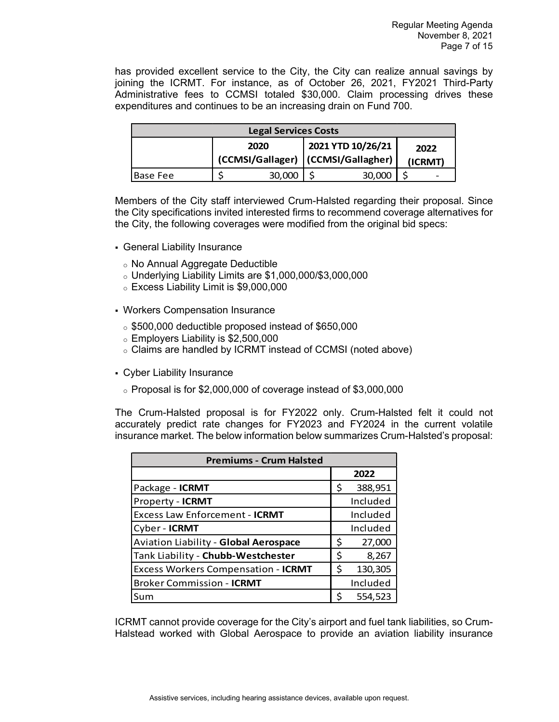has provided excellent service to the City, the City can realize annual savings by joining the ICRMT. For instance, as of October 26, 2021, FY2021 Third-Party Administrative fees to CCMSI totaled \$30,000. Claim processing drives these expenditures and continues to be an increasing drain on Fund 700.

| <b>Legal Services Costs</b>                                                          |  |        |  |        |  |  |
|--------------------------------------------------------------------------------------|--|--------|--|--------|--|--|
| 2021 YTD 10/26/21<br>2020<br>2022<br>(CCMSI/Gallager)   (CCMSI/Gallagher)<br>(ICRMT) |  |        |  |        |  |  |
| 'Base Fee                                                                            |  | 30,000 |  | 30.00C |  |  |

Members of the City staff interviewed Crum-Halsted regarding their proposal. Since the City specifications invited interested firms to recommend coverage alternatives for the City, the following coverages were modified from the original bid specs:

- General Liability Insurance
	- <sup>o</sup> No Annual Aggregate Deductible
	- $\circ$  Underlying Liability Limits are \$1,000,000/\$3,000,000
	- <sup>o</sup> Excess Liability Limit is \$9,000,000
- Workers Compensation Insurance
	- <sup>o</sup> \$500,000 deductible proposed instead of \$650,000
	- <sup>o</sup> Employers Liability is \$2,500,000
	- <sup>o</sup> Claims are handled by ICRMT instead of CCMSI (noted above)
- Cyber Liability Insurance
	- $\circ$  Proposal is for \$2,000,000 of coverage instead of \$3,000,000

The Crum-Halsted proposal is for FY2022 only. Crum-Halsted felt it could not accurately predict rate changes for FY2023 and FY2024 in the current volatile insurance market. The below information below summarizes Crum-Halsted's proposal:

| <b>Premiums - Crum Halsted</b>             |    |          |  |  |
|--------------------------------------------|----|----------|--|--|
|                                            |    | 2022     |  |  |
| Package - ICRMT                            | \$ | 388,951  |  |  |
| Property - ICRMT                           |    | Included |  |  |
| <b>Excess Law Enforcement - ICRMT</b>      |    | Included |  |  |
| Cyber - ICRMT                              |    | Included |  |  |
| Aviation Liability - Global Aerospace      | \$ | 27,000   |  |  |
| Tank Liability - Chubb-Westchester         | \$ | 8,267    |  |  |
| <b>Excess Workers Compensation - ICRMT</b> | Ś  | 130,305  |  |  |
| <b>Broker Commission - ICRMT</b>           |    | Included |  |  |
| Sum                                        | ς  | 554,523  |  |  |

ICRMT cannot provide coverage for the City's airport and fuel tank liabilities, so Crum-Halstead worked with Global Aerospace to provide an aviation liability insurance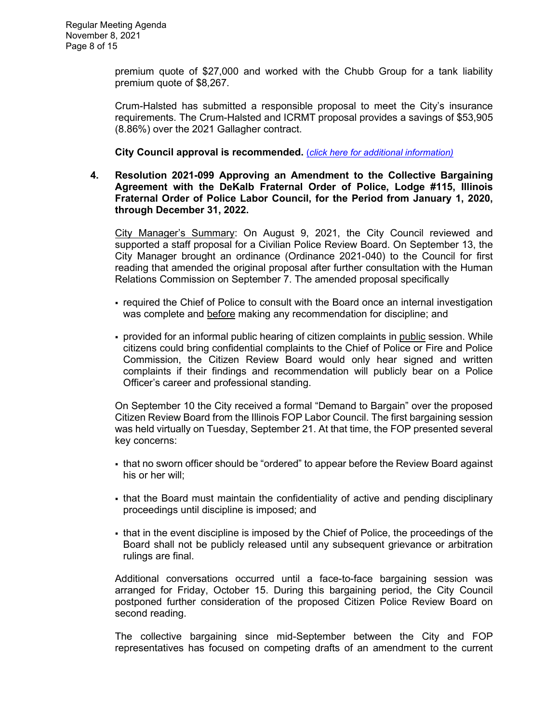premium quote of \$27,000 and worked with the Chubb Group for a tank liability premium quote of \$8,267.

Crum-Halsted has submitted a responsible proposal to meet the City's insurance requirements. The Crum-Halsted and ICRMT proposal provides a savings of \$53,905 (8.86%) over the 2021 Gallagher contract.

**City Council approval is recommended.** (*[click here for additional information\)](https://www.cityofdekalb.com/DocumentCenter/View/13196/10-Res-2021-098)*

**4. Resolution 2021-099 Approving an Amendment to the Collective Bargaining Agreement with the DeKalb Fraternal Order of Police, Lodge #115, Illinois Fraternal Order of Police Labor Council, for the Period from January 1, 2020, through December 31, 2022.** 

City Manager's Summary: On August 9, 2021, the City Council reviewed and supported a staff proposal for a Civilian Police Review Board. On September 13, the City Manager brought an ordinance (Ordinance 2021-040) to the Council for first reading that amended the original proposal after further consultation with the Human Relations Commission on September 7. The amended proposal specifically

- required the Chief of Police to consult with the Board once an internal investigation was complete and before making any recommendation for discipline; and
- provided for an informal public hearing of citizen complaints in public session. While citizens could bring confidential complaints to the Chief of Police or Fire and Police Commission, the Citizen Review Board would only hear signed and written complaints if their findings and recommendation will publicly bear on a Police Officer's career and professional standing.

On September 10 the City received a formal "Demand to Bargain" over the proposed Citizen Review Board from the Illinois FOP Labor Council. The first bargaining session was held virtually on Tuesday, September 21. At that time, the FOP presented several key concerns:

- that no sworn officer should be "ordered" to appear before the Review Board against his or her will;
- that the Board must maintain the confidentiality of active and pending disciplinary proceedings until discipline is imposed; and
- that in the event discipline is imposed by the Chief of Police, the proceedings of the Board shall not be publicly released until any subsequent grievance or arbitration rulings are final.

Additional conversations occurred until a face-to-face bargaining session was arranged for Friday, October 15. During this bargaining period, the City Council postponed further consideration of the proposed Citizen Police Review Board on second reading.

The collective bargaining since mid-September between the City and FOP representatives has focused on competing drafts of an amendment to the current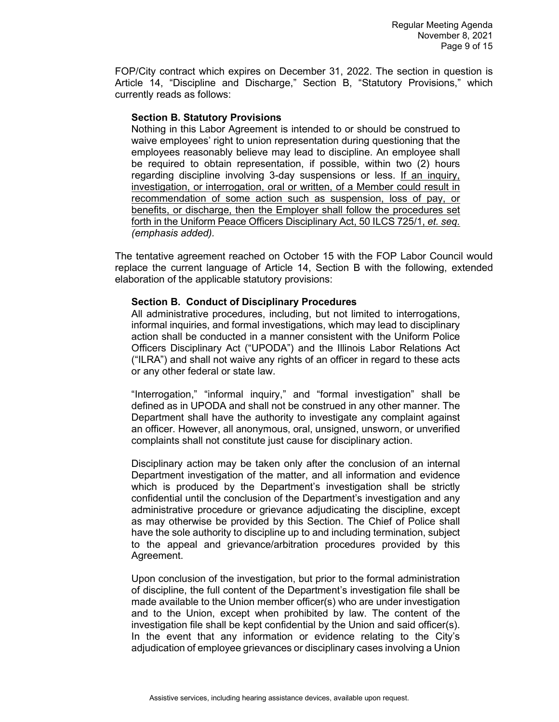FOP/City contract which expires on December 31, 2022. The section in question is Article 14, "Discipline and Discharge," Section B, "Statutory Provisions," which currently reads as follows:

#### **Section B. Statutory Provisions**

Nothing in this Labor Agreement is intended to or should be construed to waive employees' right to union representation during questioning that the employees reasonably believe may lead to discipline. An employee shall be required to obtain representation, if possible, within two (2) hours regarding discipline involving 3-day suspensions or less. If an inquiry, investigation, or interrogation, oral or written, of a Member could result in recommendation of some action such as suspension, loss of pay, or benefits, or discharge, then the Employer shall follow the procedures set forth in the Uniform Peace Officers Disciplinary Act, 50 ILCS 725/1, *et. seq. (emphasis added).* 

The tentative agreement reached on October 15 with the FOP Labor Council would replace the current language of Article 14, Section B with the following, extended elaboration of the applicable statutory provisions:

# **Section B. Conduct of Disciplinary Procedures**

All administrative procedures, including, but not limited to interrogations, informal inquiries, and formal investigations, which may lead to disciplinary action shall be conducted in a manner consistent with the Uniform Police Officers Disciplinary Act ("UPODA") and the Illinois Labor Relations Act ("ILRA") and shall not waive any rights of an officer in regard to these acts or any other federal or state law.

"Interrogation," "informal inquiry," and "formal investigation" shall be defined as in UPODA and shall not be construed in any other manner. The Department shall have the authority to investigate any complaint against an officer. However, all anonymous, oral, unsigned, unsworn, or unverified complaints shall not constitute just cause for disciplinary action.

Disciplinary action may be taken only after the conclusion of an internal Department investigation of the matter, and all information and evidence which is produced by the Department's investigation shall be strictly confidential until the conclusion of the Department's investigation and any administrative procedure or grievance adjudicating the discipline, except as may otherwise be provided by this Section. The Chief of Police shall have the sole authority to discipline up to and including termination, subject to the appeal and grievance/arbitration procedures provided by this Agreement.

Upon conclusion of the investigation, but prior to the formal administration of discipline, the full content of the Department's investigation file shall be made available to the Union member officer(s) who are under investigation and to the Union, except when prohibited by law. The content of the investigation file shall be kept confidential by the Union and said officer(s). In the event that any information or evidence relating to the City's adjudication of employee grievances or disciplinary cases involving a Union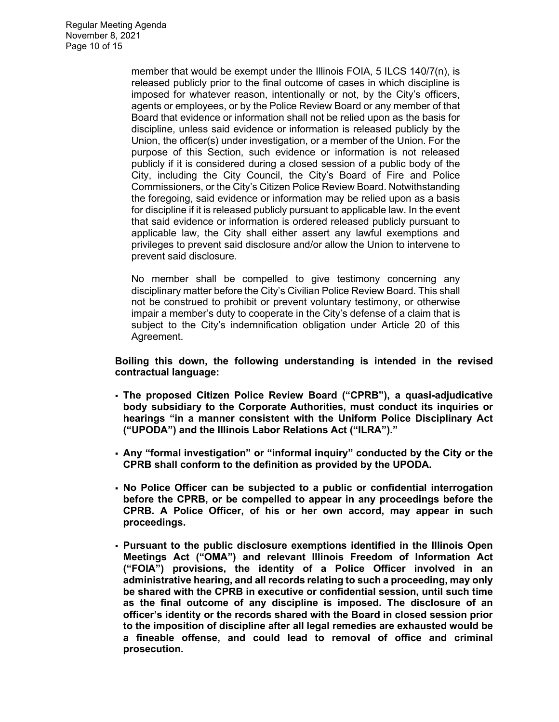member that would be exempt under the Illinois FOIA, 5 ILCS 140/7(n), is released publicly prior to the final outcome of cases in which discipline is imposed for whatever reason, intentionally or not, by the City's officers, agents or employees, or by the Police Review Board or any member of that Board that evidence or information shall not be relied upon as the basis for discipline, unless said evidence or information is released publicly by the Union, the officer(s) under investigation, or a member of the Union. For the purpose of this Section, such evidence or information is not released publicly if it is considered during a closed session of a public body of the City, including the City Council, the City's Board of Fire and Police Commissioners, or the City's Citizen Police Review Board. Notwithstanding the foregoing, said evidence or information may be relied upon as a basis for discipline if it is released publicly pursuant to applicable law. In the event that said evidence or information is ordered released publicly pursuant to applicable law, the City shall either assert any lawful exemptions and privileges to prevent said disclosure and/or allow the Union to intervene to prevent said disclosure.

No member shall be compelled to give testimony concerning any disciplinary matter before the City's Civilian Police Review Board. This shall not be construed to prohibit or prevent voluntary testimony, or otherwise impair a member's duty to cooperate in the City's defense of a claim that is subject to the City's indemnification obligation under Article 20 of this Agreement.

**Boiling this down, the following understanding is intended in the revised contractual language:**

- **The proposed Citizen Police Review Board ("CPRB"), a quasi-adjudicative body subsidiary to the Corporate Authorities, must conduct its inquiries or hearings "in a manner consistent with the Uniform Police Disciplinary Act ("UPODA") and the Illinois Labor Relations Act ("ILRA")."**
- **Any "formal investigation" or "informal inquiry" conducted by the City or the CPRB shall conform to the definition as provided by the UPODA.**
- **No Police Officer can be subjected to a public or confidential interrogation before the CPRB, or be compelled to appear in any proceedings before the CPRB. A Police Officer, of his or her own accord, may appear in such proceedings.**
- **Pursuant to the public disclosure exemptions identified in the Illinois Open Meetings Act ("OMA") and relevant Illinois Freedom of Information Act ("FOIA") provisions, the identity of a Police Officer involved in an administrative hearing, and all records relating to such a proceeding, may only be shared with the CPRB in executive or confidential session, until such time as the final outcome of any discipline is imposed. The disclosure of an officer's identity or the records shared with the Board in closed session prior to the imposition of discipline after all legal remedies are exhausted would be a fineable offense, and could lead to removal of office and criminal prosecution.**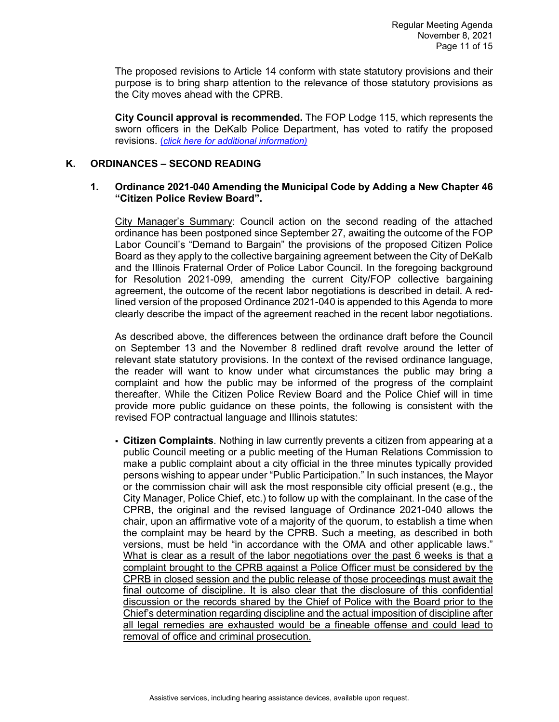The proposed revisions to Article 14 conform with state statutory provisions and their purpose is to bring sharp attention to the relevance of those statutory provisions as the City moves ahead with the CPRB.

**City Council approval is recommended.** The FOP Lodge 115, which represents the sworn officers in the DeKalb Police Department, has voted to ratify the proposed revisions. (*[click here for additional information\)](https://www.cityofdekalb.com/DocumentCenter/View/13197/11-Res-2021-099)*

# **K. ORDINANCES – SECOND READING**

### **1. Ordinance 2021-040 Amending the Municipal Code by Adding a New Chapter 46 "Citizen Police Review Board".**

City Manager's Summary: Council action on the second reading of the attached ordinance has been postponed since September 27, awaiting the outcome of the FOP Labor Council's "Demand to Bargain" the provisions of the proposed Citizen Police Board as they apply to the collective bargaining agreement between the City of DeKalb and the Illinois Fraternal Order of Police Labor Council. In the foregoing background for Resolution 2021-099, amending the current City/FOP collective bargaining agreement, the outcome of the recent labor negotiations is described in detail. A redlined version of the proposed Ordinance 2021-040 is appended to this Agenda to more clearly describe the impact of the agreement reached in the recent labor negotiations.

As described above, the differences between the ordinance draft before the Council on September 13 and the November 8 redlined draft revolve around the letter of relevant state statutory provisions. In the context of the revised ordinance language, the reader will want to know under what circumstances the public may bring a complaint and how the public may be informed of the progress of the complaint thereafter. While the Citizen Police Review Board and the Police Chief will in time provide more public guidance on these points, the following is consistent with the revised FOP contractual language and Illinois statutes:

 **Citizen Complaints**. Nothing in law currently prevents a citizen from appearing at a public Council meeting or a public meeting of the Human Relations Commission to make a public complaint about a city official in the three minutes typically provided persons wishing to appear under "Public Participation." In such instances, the Mayor or the commission chair will ask the most responsible city official present (e.g., the City Manager, Police Chief, etc.) to follow up with the complainant. In the case of the CPRB, the original and the revised language of Ordinance 2021-040 allows the chair, upon an affirmative vote of a majority of the quorum, to establish a time when the complaint may be heard by the CPRB. Such a meeting, as described in both versions, must be held "in accordance with the OMA and other applicable laws." What is clear as a result of the labor negotiations over the past 6 weeks is that a complaint brought to the CPRB against a Police Officer must be considered by the CPRB in closed session and the public release of those proceedings must await the final outcome of discipline. It is also clear that the disclosure of this confidential discussion or the records shared by the Chief of Police with the Board prior to the Chief's determination regarding discipline and the actual imposition of discipline after all legal remedies are exhausted would be a fineable offense and could lead to removal of office and criminal prosecution.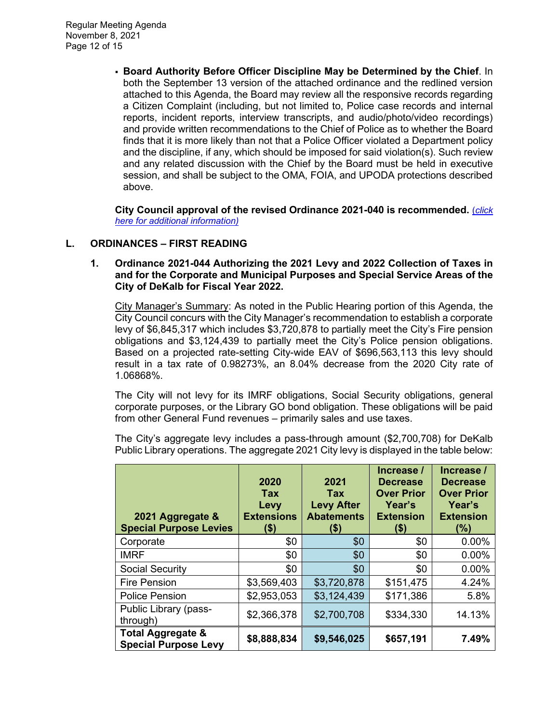**Board Authority Before Officer Discipline May be Determined by the Chief**. In both the September 13 version of the attached ordinance and the redlined version attached to this Agenda, the Board may review all the responsive records regarding a Citizen Complaint (including, but not limited to, Police case records and internal reports, incident reports, interview transcripts, and audio/photo/video recordings) and provide written recommendations to the Chief of Police as to whether the Board finds that it is more likely than not that a Police Officer violated a Department policy and the discipline, if any, which should be imposed for said violation(s). Such review and any related discussion with the Chief by the Board must be held in executive session, and shall be subject to the OMA, FOIA, and UPODA protections described above.

**City Council approval of the revised Ordinance 2021-040 is recommended.** (*[click](https://www.cityofdekalb.com/DocumentCenter/View/13198/12-Ord-2021-040)  [here for additional information\)](https://www.cityofdekalb.com/DocumentCenter/View/13198/12-Ord-2021-040)*

# **L. ORDINANCES – FIRST READING**

### **1. Ordinance 2021-044 Authorizing the 2021 Levy and 2022 Collection of Taxes in and for the Corporate and Municipal Purposes and Special Service Areas of the City of DeKalb for Fiscal Year 2022.**

City Manager's Summary: As noted in the Public Hearing portion of this Agenda, the City Council concurs with the City Manager's recommendation to establish a corporate levy of \$6,845,317 which includes \$3,720,878 to partially meet the City's Fire pension obligations and \$3,124,439 to partially meet the City's Police pension obligations. Based on a projected rate-setting City-wide EAV of \$696,563,113 this levy should result in a tax rate of 0.98273%, an 8.04% decrease from the 2020 City rate of 1.06868%.

The City will not levy for its IMRF obligations, Social Security obligations, general corporate purposes, or the Library GO bond obligation. These obligations will be paid from other General Fund revenues – primarily sales and use taxes.

The City's aggregate levy includes a pass-through amount (\$2,700,708) for DeKalb Public Library operations. The aggregate 2021 City levy is displayed in the table below:

| 2021 Aggregate &<br><b>Special Purpose Levies</b>           | 2020<br><b>Tax</b><br>Levy<br><b>Extensions</b><br>(\$) | 2021<br><b>Tax</b><br><b>Levy After</b><br><b>Abatements</b><br>(\$) | Increase /<br><b>Decrease</b><br><b>Over Prior</b><br>Year's<br><b>Extension</b><br>(\$) | Increase /<br><b>Decrease</b><br><b>Over Prior</b><br>Year's<br><b>Extension</b><br>$(\%)$ |
|-------------------------------------------------------------|---------------------------------------------------------|----------------------------------------------------------------------|------------------------------------------------------------------------------------------|--------------------------------------------------------------------------------------------|
| Corporate                                                   | \$0                                                     | \$0                                                                  | \$0                                                                                      | 0.00%                                                                                      |
| <b>IMRF</b>                                                 | \$0                                                     | \$0                                                                  | \$0                                                                                      | 0.00%                                                                                      |
| <b>Social Security</b>                                      | \$0                                                     | \$0                                                                  | \$0                                                                                      | 0.00%                                                                                      |
| <b>Fire Pension</b>                                         | \$3,569,403                                             | \$3,720,878                                                          | \$151,475                                                                                | 4.24%                                                                                      |
| <b>Police Pension</b>                                       | \$2,953,053                                             | \$3,124,439                                                          | \$171,386                                                                                | 5.8%                                                                                       |
| Public Library (pass-<br>through)                           | \$2,366,378                                             | \$2,700,708                                                          | \$334,330                                                                                | 14.13%                                                                                     |
| <b>Total Aggregate &amp;</b><br><b>Special Purpose Levy</b> | \$8,888,834                                             | \$9,546,025                                                          | \$657,191                                                                                | 7.49%                                                                                      |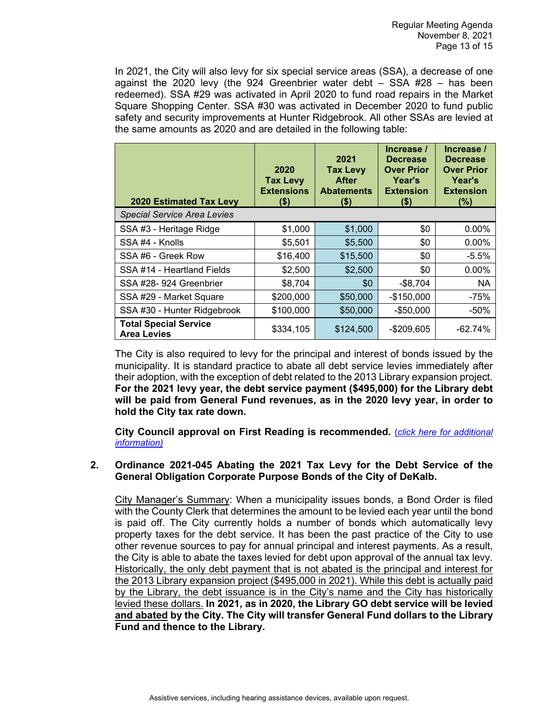In 2021, the City will also levy for six special service areas (SSA), a decrease of one against the 2020 levy (the 924 Greenbrier water debt  $-$  SSA  $#28 -$  has been redeemed). SSA #29 was activated in April 2020 to fund road repairs in the Market Square Shopping Center. SSA #30 was activated in December 2020 to fund public safety and security improvements at Hunter Ridgebrook. All other SSAs are levied at the same amounts as 2020 and are detailed in the following table:

| <b>2020 Estimated Tax Levy</b>                     | 2020<br><b>Tax Levy</b><br><b>Extensions</b><br>$($ \$) | 2021<br><b>Tax Levy</b><br><b>After</b><br><b>Abatements</b><br>(\$) | Increase /<br><b>Decrease</b><br><b>Over Prior</b><br>Year's<br><b>Extension</b><br>$($ \$) | Increase /<br><b>Decrease</b><br><b>Over Prior</b><br><b>Year's</b><br><b>Extension</b><br>(%) |
|----------------------------------------------------|---------------------------------------------------------|----------------------------------------------------------------------|---------------------------------------------------------------------------------------------|------------------------------------------------------------------------------------------------|
| <b>Special Service Area Levies</b>                 |                                                         |                                                                      |                                                                                             |                                                                                                |
| SSA #3 - Heritage Ridge                            | \$1,000                                                 | \$1,000                                                              | \$0                                                                                         | 0.00%                                                                                          |
| SSA #4 - Knolls                                    | \$5,501                                                 | \$5,500                                                              | \$0                                                                                         | $0.00\%$                                                                                       |
| SSA #6 - Greek Row                                 | \$16,400                                                | \$15,500                                                             | \$0                                                                                         | $-5.5%$                                                                                        |
| SSA #14 - Heartland Fields                         | \$2,500                                                 | \$2,500                                                              | \$0                                                                                         | $0.00\%$                                                                                       |
| SSA #28-924 Greenbrier                             | \$8,704                                                 | \$0                                                                  | $-$8,704$                                                                                   | NA.                                                                                            |
| SSA #29 - Market Square                            | \$200,000                                               | \$50,000                                                             | $-$150,000$                                                                                 | $-75%$                                                                                         |
| SSA #30 - Hunter Ridgebrook                        | \$100,000                                               | \$50,000                                                             | $-$50,000$                                                                                  | $-50%$                                                                                         |
| <b>Total Special Service</b><br><b>Area Levies</b> | \$334,105                                               | \$124,500                                                            | $-$209,605$                                                                                 | $-62.74%$                                                                                      |

The City is also required to levy for the principal and interest of bonds issued by the municipality. It is standard practice to abate all debt service levies immediately after their adoption, with the exception of debt related to the 2013 Library expansion project. **For the 2021 levy year, the debt service payment (\$495,000) for the Library debt will be paid from General Fund revenues, as in the 2020 levy year, in order to hold the City tax rate down.**

**City Council approval on First Reading is recommended.** (*[click here for additional](https://www.cityofdekalb.com/DocumentCenter/View/13199/13-Ord-2021-044)  [information\)](https://www.cityofdekalb.com/DocumentCenter/View/13199/13-Ord-2021-044)*

#### **2. Ordinance 2021-045 Abating the 2021 Tax Levy for the Debt Service of the General Obligation Corporate Purpose Bonds of the City of DeKalb.**

City Manager's Summary: When a municipality issues bonds, a Bond Order is filed with the County Clerk that determines the amount to be levied each year until the bond is paid off. The City currently holds a number of bonds which automatically levy property taxes for the debt service. It has been the past practice of the City to use other revenue sources to pay for annual principal and interest payments. As a result, the City is able to abate the taxes levied for debt upon approval of the annual tax levy. Historically, the only debt payment that is not abated is the principal and interest for the 2013 Library expansion project (\$495,000 in 2021). While this debt is actually paid by the Library, the debt issuance is in the City's name and the City has historically levied these dollars. **In 2021, as in 2020, the Library GO debt service will be levied and abated by the City. The City will transfer General Fund dollars to the Library Fund and thence to the Library.**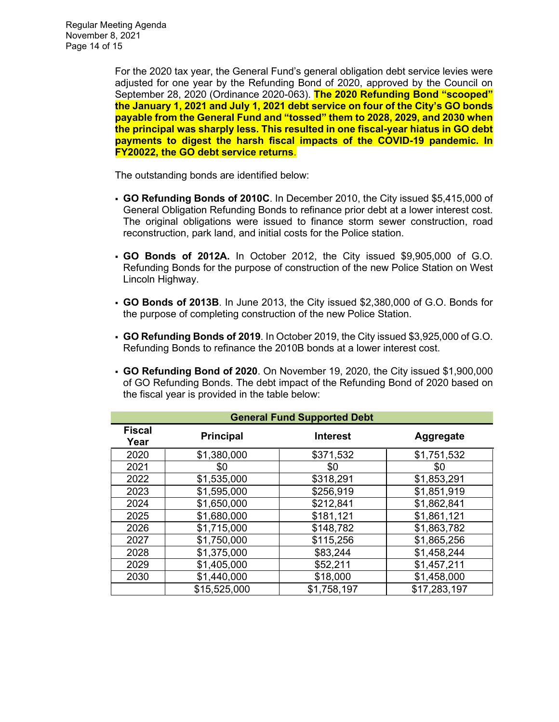For the 2020 tax year, the General Fund's general obligation debt service levies were adjusted for one year by the Refunding Bond of 2020, approved by the Council on September 28, 2020 (Ordinance 2020-063). **The 2020 Refunding Bond "scooped" the January 1, 2021 and July 1, 2021 debt service on four of the City's GO bonds payable from the General Fund and "tossed" them to 2028, 2029, and 2030 when the principal was sharply less. This resulted in one fiscal-year hiatus in GO debt payments to digest the harsh fiscal impacts of the COVID-19 pandemic. In FY20022, the GO debt service returns**.

The outstanding bonds are identified below:

- **GO Refunding Bonds of 2010C**. In December 2010, the City issued \$5,415,000 of General Obligation Refunding Bonds to refinance prior debt at a lower interest cost. The original obligations were issued to finance storm sewer construction, road reconstruction, park land, and initial costs for the Police station.
- **GO Bonds of 2012A.** In October 2012, the City issued \$9,905,000 of G.O. Refunding Bonds for the purpose of construction of the new Police Station on West Lincoln Highway.
- **GO Bonds of 2013B**. In June 2013, the City issued \$2,380,000 of G.O. Bonds for the purpose of completing construction of the new Police Station.
- **GO Refunding Bonds of 2019**. In October 2019, the City issued \$3,925,000 of G.O. Refunding Bonds to refinance the 2010B bonds at a lower interest cost.
- **GO Refunding Bond of 2020**. On November 19, 2020, the City issued \$1,900,000 of GO Refunding Bonds. The debt impact of the Refunding Bond of 2020 based on the fiscal year is provided in the table below:

| <b>General Fund Supported Debt</b> |                  |                 |              |  |  |  |  |
|------------------------------------|------------------|-----------------|--------------|--|--|--|--|
| <b>Fiscal</b><br>Year              | <b>Principal</b> | <b>Interest</b> | Aggregate    |  |  |  |  |
| 2020                               | \$1,380,000      | \$371,532       | \$1,751,532  |  |  |  |  |
| 2021                               | \$0              | \$0             | \$0          |  |  |  |  |
| 2022                               | \$1,535,000      | \$318,291       | \$1,853,291  |  |  |  |  |
| 2023                               | \$1,595,000      | \$256,919       | \$1,851,919  |  |  |  |  |
| 2024                               | \$1,650,000      | \$212,841       | \$1,862,841  |  |  |  |  |
| 2025                               | \$1,680,000      | \$181,121       | \$1,861,121  |  |  |  |  |
| 2026                               | \$1,715,000      | \$148,782       | \$1,863,782  |  |  |  |  |
| 2027                               | \$1,750,000      | \$115,256       | \$1,865,256  |  |  |  |  |
| 2028                               | \$1,375,000      | \$83,244        | \$1,458,244  |  |  |  |  |
| 2029                               | \$1,405,000      | \$52,211        | \$1,457,211  |  |  |  |  |
| 2030                               | \$1,440,000      | \$18,000        | \$1,458,000  |  |  |  |  |
|                                    | \$15,525,000     | \$1,758,197     | \$17,283,197 |  |  |  |  |